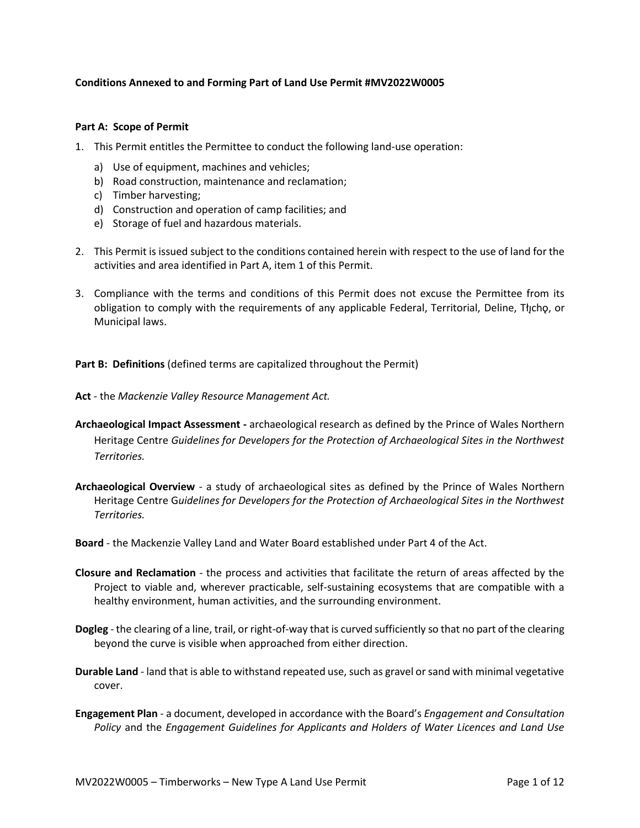## **Conditions Annexed to and Forming Part of Land Use Permit #MV2022W0005**

## **Part A: Scope of Permit**

- 1. This Permit entitles the Permittee to conduct the following land-use operation:
	- a) Use of equipment, machines and vehicles;
	- b) Road construction, maintenance and reclamation;
	- c) Timber harvesting;
	- d) Construction and operation of camp facilities; and
	- e) Storage of fuel and hazardous materials.
- 2. This Permit is issued subject to the conditions contained herein with respect to the use of land for the activities and area identified in Part A, item 1 of this Permit.
- 3. Compliance with the terms and conditions of this Permit does not excuse the Permittee from its obligation to comply with the requirements of any applicable Federal, Territorial, Deline, Tłįchǫ, or Municipal laws.

**Part B: Definitions** (defined terms are capitalized throughout the Permit)

**Act** - the *Mackenzie Valley Resource Management Act.*

- **Archaeological Impact Assessment -** archaeological research as defined by the Prince of Wales Northern Heritage Centre *Guidelines for Developers for the Protection of Archaeological Sites in the Northwest Territories.*
- **Archaeological Overview**  a study of archaeological sites as defined by the Prince of Wales Northern Heritage Centre G*uidelines for Developers for the Protection of Archaeological Sites in the Northwest Territories.*

**Board** - the Mackenzie Valley Land and Water Board established under Part 4 of the Act.

- **Closure and Reclamation** the process and activities that facilitate the return of areas affected by the Project to viable and, wherever practicable, self-sustaining ecosystems that are compatible with a healthy environment, human activities, and the surrounding environment.
- **Dogleg** the clearing of a line, trail, or right-of-way that is curved sufficiently so that no part of the clearing beyond the curve is visible when approached from either direction.
- **Durable Land** land that is able to withstand repeated use, such as gravel or sand with minimal vegetative cover.
- **Engagement Plan**  a document, developed in accordance with the Board's *Engagement and Consultation Policy* and the *Engagement Guidelines for Applicants and Holders of Water Licences and Land Use*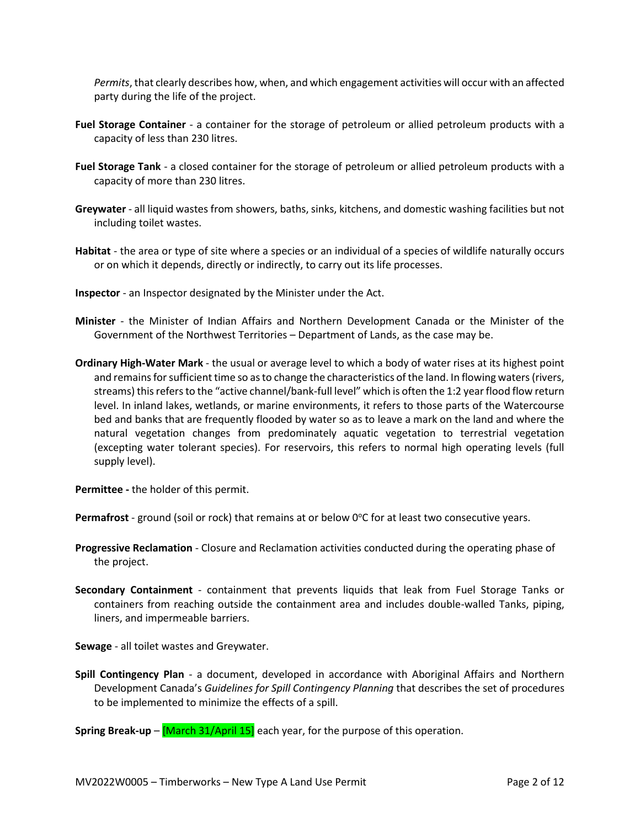*Permits*, that clearly describes how, when, and which engagement activities will occur with an affected party during the life of the project.

- **Fuel Storage Container** a container for the storage of petroleum or allied petroleum products with a capacity of less than 230 litres.
- **Fuel Storage Tank**  a closed container for the storage of petroleum or allied petroleum products with a capacity of more than 230 litres.
- **Greywater** all liquid wastes from showers, baths, sinks, kitchens, and domestic washing facilities but not including toilet wastes.
- **Habitat** the area or type of site where a species or an individual of a species of wildlife naturally occurs or on which it depends, directly or indirectly, to carry out its life processes.
- **Inspector**  an Inspector designated by the Minister under the Act.
- **Minister** the Minister of Indian Affairs and Northern Development Canada or the Minister of the Government of the Northwest Territories – Department of Lands, as the case may be.
- **Ordinary High-Water Mark**  the usual or average level to which a body of water rises at its highest point and remains for sufficient time so as to change the characteristics of the land. In flowing waters (rivers, streams) this refers to the "active channel/bank-full level" which is often the 1:2 year flood flow return level. In inland lakes, wetlands, or marine environments, it refers to those parts of the Watercourse bed and banks that are frequently flooded by water so as to leave a mark on the land and where the natural vegetation changes from predominately aquatic vegetation to terrestrial vegetation (excepting water tolerant species). For reservoirs, this refers to normal high operating levels (full supply level).

**Permittee -** the holder of this permit.

Permafrost - ground (soil or rock) that remains at or below 0°C for at least two consecutive years.

- **Progressive Reclamation**  Closure and Reclamation activities conducted during the operating phase of the project.
- **Secondary Containment** containment that prevents liquids that leak from Fuel Storage Tanks or containers from reaching outside the containment area and includes double-walled Tanks, piping, liners, and impermeable barriers.

**Sewage** - all toilet wastes and Greywater.

**Spill Contingency Plan** - a document, developed in accordance with Aboriginal Affairs and Northern Development Canada's *Guidelines for Spill Contingency Planning* that describes the set of procedures to be implemented to minimize the effects of a spill.

**Spring Break-up** – **[March 31/April 15]** each year, for the purpose of this operation.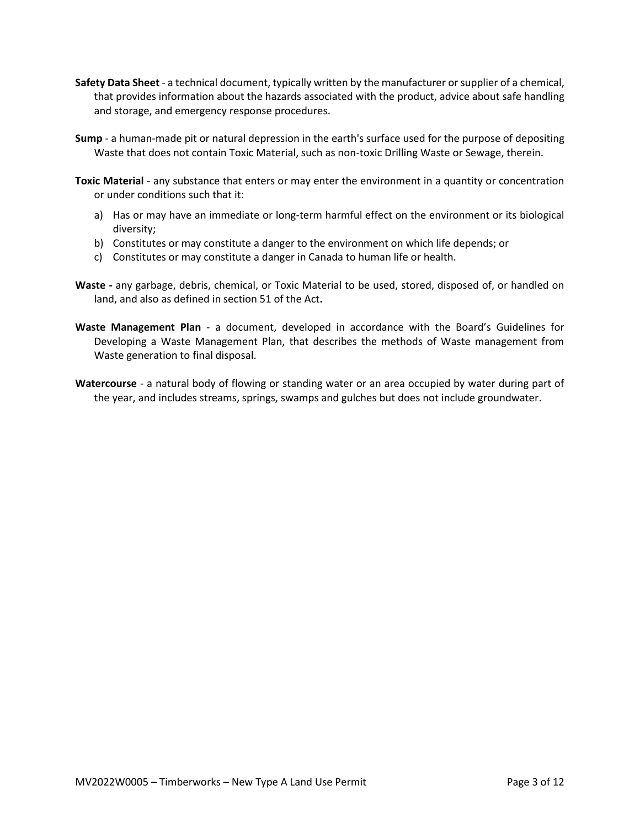- **Safety Data Sheet**  a technical document, typically written by the manufacturer or supplier of a chemical, that provides information about the hazards associated with the product, advice about safe handling and storage, and emergency response procedures.
- **Sump** a human-made pit or natural depression in the earth's surface used for the purpose of depositing Waste that does not contain Toxic Material, such as non-toxic Drilling Waste or Sewage, therein.

**Toxic Material** - any substance that enters or may enter the environment in a quantity or concentration or under conditions such that it:

- a) Has or may have an immediate or long-term harmful effect on the environment or its biological diversity;
- b) Constitutes or may constitute a danger to the environment on which life depends; or
- c) Constitutes or may constitute a danger in Canada to human life or health.
- **Waste -** any garbage, debris, chemical, or Toxic Material to be used, stored, disposed of, or handled on land, and also as defined in section 51 of the Act**.**
- **Waste Management Plan** a document, developed in accordance with the Board's Guidelines for Developing a Waste Management Plan, that describes the methods of Waste management from Waste generation to final disposal.
- **Watercourse** a natural body of flowing or standing water or an area occupied by water during part of the year, and includes streams, springs, swamps and gulches but does not include groundwater.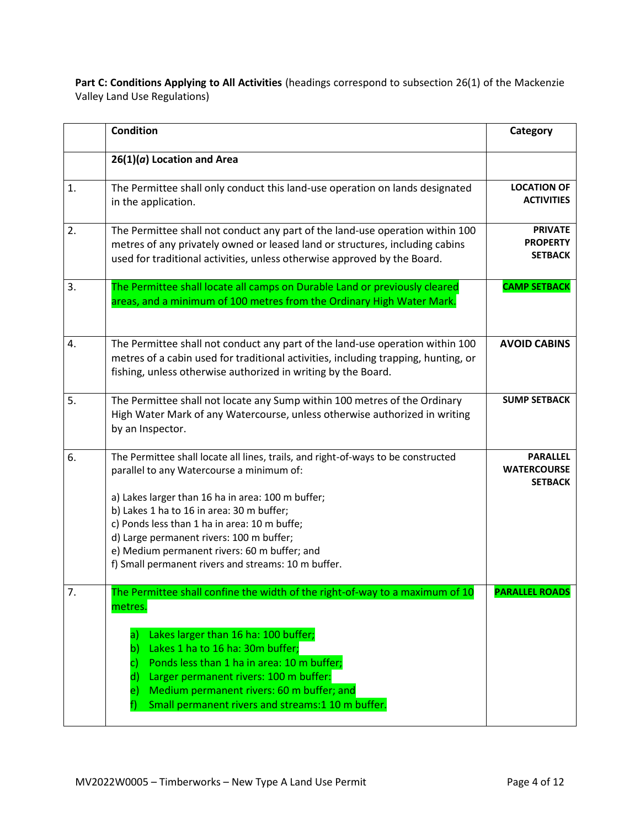Part C: Conditions Applying to All Activities (headings correspond to subsection 26(1) of the Mackenzie Valley Land Use Regulations)

|    | <b>Condition</b>                                                                                                                                                                                                                          | Category                                                |
|----|-------------------------------------------------------------------------------------------------------------------------------------------------------------------------------------------------------------------------------------------|---------------------------------------------------------|
|    | $26(1)(a)$ Location and Area                                                                                                                                                                                                              |                                                         |
| 1. | The Permittee shall only conduct this land-use operation on lands designated<br>in the application.                                                                                                                                       | <b>LOCATION OF</b><br><b>ACTIVITIES</b>                 |
| 2. | The Permittee shall not conduct any part of the land-use operation within 100<br>metres of any privately owned or leased land or structures, including cabins<br>used for traditional activities, unless otherwise approved by the Board. | <b>PRIVATE</b><br><b>PROPERTY</b><br><b>SETBACK</b>     |
| 3. | The Permittee shall locate all camps on Durable Land or previously cleared<br>areas, and a minimum of 100 metres from the Ordinary High Water Mark.                                                                                       | <b>CAMP SETBACK</b>                                     |
| 4. | The Permittee shall not conduct any part of the land-use operation within 100<br>metres of a cabin used for traditional activities, including trapping, hunting, or<br>fishing, unless otherwise authorized in writing by the Board.      | <b>AVOID CABINS</b>                                     |
| 5. | The Permittee shall not locate any Sump within 100 metres of the Ordinary<br>High Water Mark of any Watercourse, unless otherwise authorized in writing<br>by an Inspector.                                                               | <b>SUMP SETBACK</b>                                     |
| 6. | The Permittee shall locate all lines, trails, and right-of-ways to be constructed<br>parallel to any Watercourse a minimum of:                                                                                                            | <b>PARALLEL</b><br><b>WATERCOURSE</b><br><b>SETBACK</b> |
|    | a) Lakes larger than 16 ha in area: 100 m buffer;                                                                                                                                                                                         |                                                         |
|    | b) Lakes 1 ha to 16 in area: 30 m buffer;                                                                                                                                                                                                 |                                                         |
|    | c) Ponds less than 1 ha in area: 10 m buffe;<br>d) Large permanent rivers: 100 m buffer;                                                                                                                                                  |                                                         |
|    | e) Medium permanent rivers: 60 m buffer; and                                                                                                                                                                                              |                                                         |
|    | f) Small permanent rivers and streams: 10 m buffer.                                                                                                                                                                                       |                                                         |
| 7. | The Permittee shall confine the width of the right-of-way to a maximum of 10<br>metres.                                                                                                                                                   | <b>PARALLEL ROADS</b>                                   |
|    | Lakes larger than 16 ha: 100 buffer;<br>$\mathsf{a}$                                                                                                                                                                                      |                                                         |
|    | Lakes 1 ha to 16 ha: 30m buffer;<br>b)<br>Ponds less than 1 ha in area: 10 m buffer;                                                                                                                                                      |                                                         |
|    | Larger permanent rivers: 100 m buffer:<br>$\mathsf{d}$                                                                                                                                                                                    |                                                         |
|    | Medium permanent rivers: 60 m buffer; and<br>e)                                                                                                                                                                                           |                                                         |
|    | Small permanent rivers and streams:1 10 m buffer.<br>t)                                                                                                                                                                                   |                                                         |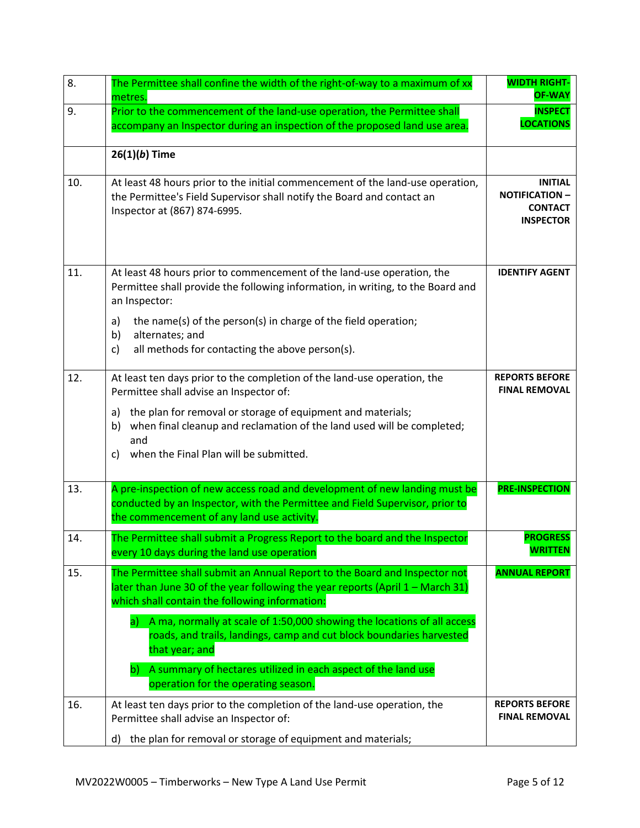| 8.  | The Permittee shall confine the width of the right-of-way to a maximum of xx<br>metres.                                                                                                                                                                                                                                      | <b>WIDTH RIGHT-</b><br><b>OF-WAY</b>                                          |
|-----|------------------------------------------------------------------------------------------------------------------------------------------------------------------------------------------------------------------------------------------------------------------------------------------------------------------------------|-------------------------------------------------------------------------------|
| 9.  | Prior to the commencement of the land-use operation, the Permittee shall<br>accompany an Inspector during an inspection of the proposed land use area.                                                                                                                                                                       | <b>INSPECT</b><br><b>LOCATIONS</b>                                            |
|     | $26(1)(b)$ Time                                                                                                                                                                                                                                                                                                              |                                                                               |
| 10. | At least 48 hours prior to the initial commencement of the land-use operation,<br>the Permittee's Field Supervisor shall notify the Board and contact an<br>Inspector at (867) 874-6995.                                                                                                                                     | <b>INITIAL</b><br><b>NOTIFICATION -</b><br><b>CONTACT</b><br><b>INSPECTOR</b> |
| 11. | At least 48 hours prior to commencement of the land-use operation, the<br>Permittee shall provide the following information, in writing, to the Board and<br>an Inspector:                                                                                                                                                   | <b>IDENTIFY AGENT</b>                                                         |
|     | the name(s) of the person(s) in charge of the field operation;<br>a)<br>b)<br>alternates; and<br>all methods for contacting the above person(s).<br>c)                                                                                                                                                                       |                                                                               |
| 12. | At least ten days prior to the completion of the land-use operation, the<br>Permittee shall advise an Inspector of:<br>the plan for removal or storage of equipment and materials;<br>a)<br>when final cleanup and reclamation of the land used will be completed;<br>b)<br>and<br>c) when the Final Plan will be submitted. | <b>REPORTS BEFORE</b><br><b>FINAL REMOVAL</b>                                 |
| 13. | A pre-inspection of new access road and development of new landing must be<br>conducted by an Inspector, with the Permittee and Field Supervisor, prior to<br>the commencement of any land use activity.                                                                                                                     | <b>PRE-INSPECTION</b>                                                         |
| 14. | The Permittee shall submit a Progress Report to the board and the Inspector<br>every 10 days during the land use operation                                                                                                                                                                                                   | <b>PROGRESS</b><br><b>WRITTEN</b>                                             |
| 15. | The Permittee shall submit an Annual Report to the Board and Inspector not<br>later than June 30 of the year following the year reports (April $1 -$ March 31)<br>which shall contain the following information:                                                                                                             | <b>ANNUAL REPORT</b>                                                          |
|     | A ma, normally at scale of 1:50,000 showing the locations of all access<br>a)<br>roads, and trails, landings, camp and cut block boundaries harvested<br>that year; and<br>b) A summary of hectares utilized in each aspect of the land use<br>operation for the operating season.                                           |                                                                               |
| 16. | At least ten days prior to the completion of the land-use operation, the<br>Permittee shall advise an Inspector of:<br>the plan for removal or storage of equipment and materials;<br>d)                                                                                                                                     | <b>REPORTS BEFORE</b><br><b>FINAL REMOVAL</b>                                 |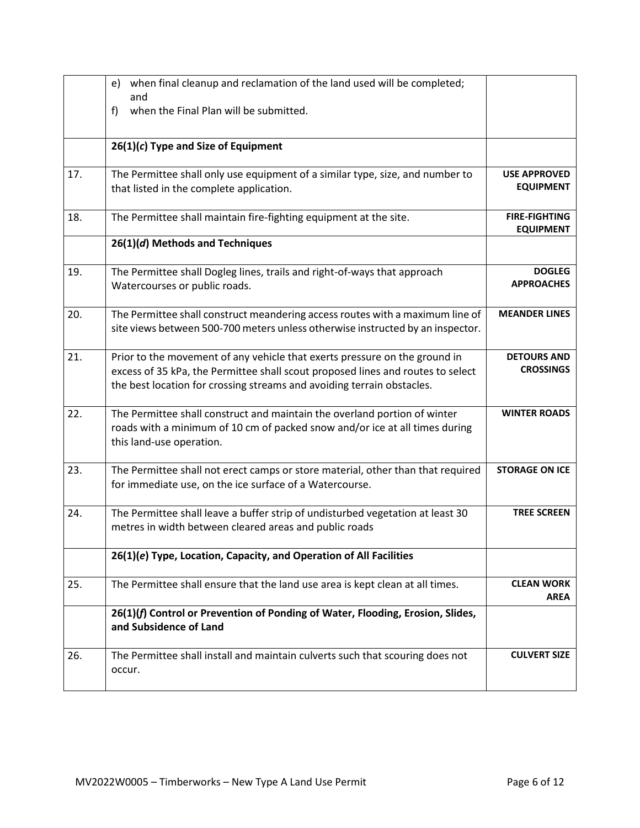|     | e) when final cleanup and reclamation of the land used will be completed;<br>and                                                                                                                                                        |                                          |
|-----|-----------------------------------------------------------------------------------------------------------------------------------------------------------------------------------------------------------------------------------------|------------------------------------------|
|     | when the Final Plan will be submitted.<br>f)                                                                                                                                                                                            |                                          |
|     | $26(1)(c)$ Type and Size of Equipment                                                                                                                                                                                                   |                                          |
| 17. | The Permittee shall only use equipment of a similar type, size, and number to<br>that listed in the complete application.                                                                                                               | <b>USE APPROVED</b><br><b>EQUIPMENT</b>  |
| 18. | The Permittee shall maintain fire-fighting equipment at the site.                                                                                                                                                                       | <b>FIRE-FIGHTING</b><br><b>EQUIPMENT</b> |
|     | 26(1)(d) Methods and Techniques                                                                                                                                                                                                         |                                          |
| 19. | The Permittee shall Dogleg lines, trails and right-of-ways that approach<br>Watercourses or public roads.                                                                                                                               | <b>DOGLEG</b><br><b>APPROACHES</b>       |
| 20. | The Permittee shall construct meandering access routes with a maximum line of<br>site views between 500-700 meters unless otherwise instructed by an inspector.                                                                         | <b>MEANDER LINES</b>                     |
| 21. | Prior to the movement of any vehicle that exerts pressure on the ground in<br>excess of 35 kPa, the Permittee shall scout proposed lines and routes to select<br>the best location for crossing streams and avoiding terrain obstacles. | <b>DETOURS AND</b><br><b>CROSSINGS</b>   |
| 22. | The Permittee shall construct and maintain the overland portion of winter<br>roads with a minimum of 10 cm of packed snow and/or ice at all times during<br>this land-use operation.                                                    | <b>WINTER ROADS</b>                      |
| 23. | The Permittee shall not erect camps or store material, other than that required<br>for immediate use, on the ice surface of a Watercourse.                                                                                              | <b>STORAGE ON ICE</b>                    |
| 24. | The Permittee shall leave a buffer strip of undisturbed vegetation at least 30<br>metres in width between cleared areas and public roads                                                                                                | <b>TREE SCREEN</b>                       |
|     | 26(1)(e) Type, Location, Capacity, and Operation of All Facilities                                                                                                                                                                      |                                          |
| 25. | The Permittee shall ensure that the land use area is kept clean at all times.                                                                                                                                                           | <b>CLEAN WORK</b><br><b>AREA</b>         |
|     | 26(1)(f) Control or Prevention of Ponding of Water, Flooding, Erosion, Slides,<br>and Subsidence of Land                                                                                                                                |                                          |
| 26. | The Permittee shall install and maintain culverts such that scouring does not<br>occur.                                                                                                                                                 | <b>CULVERT SIZE</b>                      |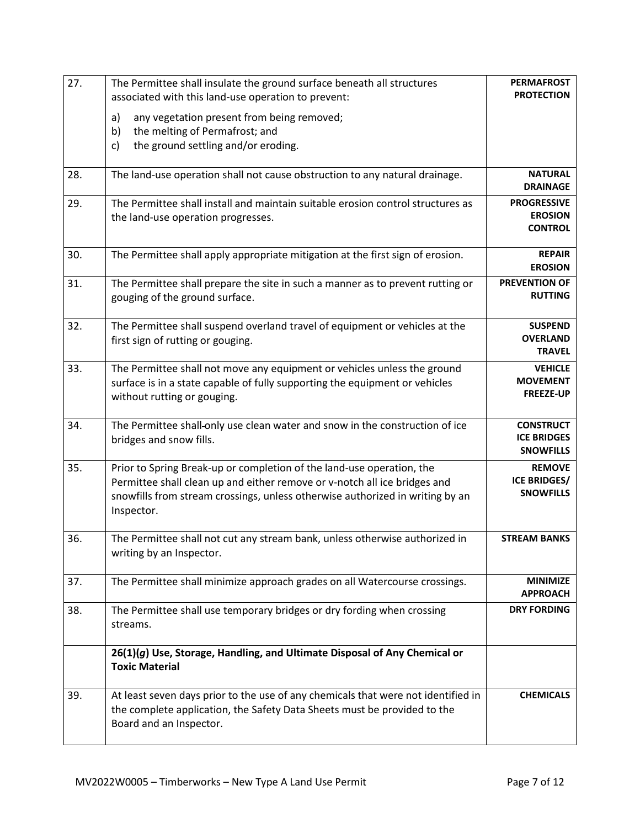| 27. | The Permittee shall insulate the ground surface beneath all structures                                                                                                                                                                            | <b>PERMAFROST</b>                                          |
|-----|---------------------------------------------------------------------------------------------------------------------------------------------------------------------------------------------------------------------------------------------------|------------------------------------------------------------|
|     | associated with this land-use operation to prevent:                                                                                                                                                                                               | <b>PROTECTION</b>                                          |
|     | a)<br>any vegetation present from being removed;                                                                                                                                                                                                  |                                                            |
|     | the melting of Permafrost; and<br>b)                                                                                                                                                                                                              |                                                            |
|     | the ground settling and/or eroding.<br>c)                                                                                                                                                                                                         |                                                            |
| 28. | The land-use operation shall not cause obstruction to any natural drainage.                                                                                                                                                                       | <b>NATURAL</b><br><b>DRAINAGE</b>                          |
| 29. | The Permittee shall install and maintain suitable erosion control structures as<br>the land-use operation progresses.                                                                                                                             | <b>PROGRESSIVE</b><br><b>EROSION</b><br><b>CONTROL</b>     |
| 30. | The Permittee shall apply appropriate mitigation at the first sign of erosion.                                                                                                                                                                    | <b>REPAIR</b><br><b>EROSION</b>                            |
| 31. | The Permittee shall prepare the site in such a manner as to prevent rutting or<br>gouging of the ground surface.                                                                                                                                  | <b>PREVENTION OF</b><br><b>RUTTING</b>                     |
| 32. | The Permittee shall suspend overland travel of equipment or vehicles at the<br>first sign of rutting or gouging.                                                                                                                                  | <b>SUSPEND</b><br><b>OVERLAND</b><br><b>TRAVEL</b>         |
| 33. | The Permittee shall not move any equipment or vehicles unless the ground<br>surface is in a state capable of fully supporting the equipment or vehicles<br>without rutting or gouging.                                                            | <b>VEHICLE</b><br><b>MOVEMENT</b><br><b>FREEZE-UP</b>      |
| 34. | The Permittee shall-only use clean water and snow in the construction of ice<br>bridges and snow fills.                                                                                                                                           | <b>CONSTRUCT</b><br><b>ICE BRIDGES</b><br><b>SNOWFILLS</b> |
| 35. | Prior to Spring Break-up or completion of the land-use operation, the<br>Permittee shall clean up and either remove or v-notch all ice bridges and<br>snowfills from stream crossings, unless otherwise authorized in writing by an<br>Inspector. | <b>REMOVE</b><br><b>ICE BRIDGES/</b><br><b>SNOWFILLS</b>   |
| 36. | The Permittee shall not cut any stream bank, unless otherwise authorized in<br>writing by an Inspector.                                                                                                                                           | <b>STREAM BANKS</b>                                        |
| 37. | The Permittee shall minimize approach grades on all Watercourse crossings.                                                                                                                                                                        | <b>MINIMIZE</b><br><b>APPROACH</b>                         |
| 38. | The Permittee shall use temporary bridges or dry fording when crossing<br>streams.                                                                                                                                                                | <b>DRY FORDING</b>                                         |
|     | 26(1)(g) Use, Storage, Handling, and Ultimate Disposal of Any Chemical or<br><b>Toxic Material</b>                                                                                                                                                |                                                            |
| 39. | At least seven days prior to the use of any chemicals that were not identified in<br>the complete application, the Safety Data Sheets must be provided to the<br>Board and an Inspector.                                                          | <b>CHEMICALS</b>                                           |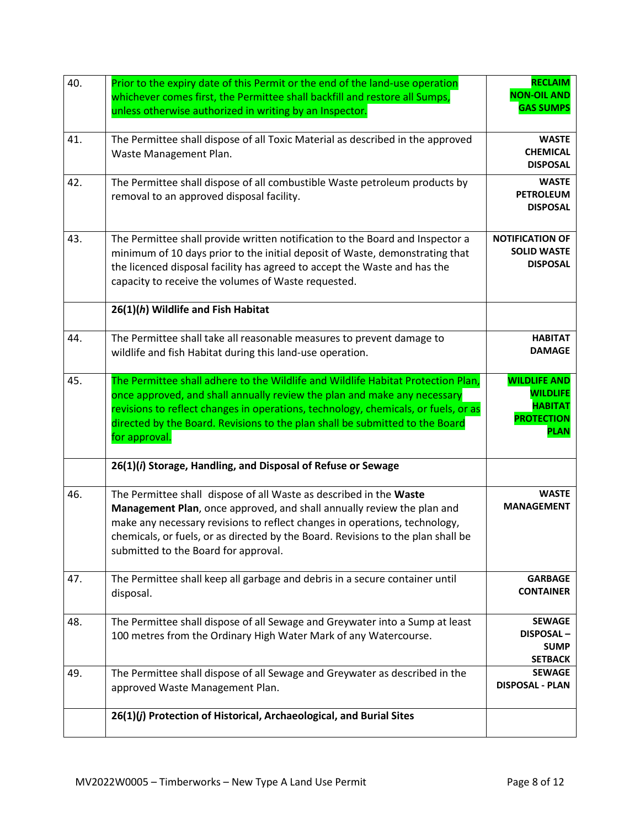| 40. | Prior to the expiry date of this Permit or the end of the land-use operation<br>whichever comes first, the Permittee shall backfill and restore all Sumps,<br>unless otherwise authorized in writing by an Inspector.                                                                                                                                  | <b>RECLAIM</b><br><b>NON-OIL AND</b><br><b>GAS SUMPS</b>                                     |
|-----|--------------------------------------------------------------------------------------------------------------------------------------------------------------------------------------------------------------------------------------------------------------------------------------------------------------------------------------------------------|----------------------------------------------------------------------------------------------|
| 41. | The Permittee shall dispose of all Toxic Material as described in the approved<br>Waste Management Plan.                                                                                                                                                                                                                                               | <b>WASTE</b><br><b>CHEMICAL</b><br><b>DISPOSAL</b>                                           |
| 42. | The Permittee shall dispose of all combustible Waste petroleum products by<br>removal to an approved disposal facility.                                                                                                                                                                                                                                | <b>WASTE</b><br><b>PETROLEUM</b><br><b>DISPOSAL</b>                                          |
| 43. | The Permittee shall provide written notification to the Board and Inspector a<br>minimum of 10 days prior to the initial deposit of Waste, demonstrating that<br>the licenced disposal facility has agreed to accept the Waste and has the<br>capacity to receive the volumes of Waste requested.                                                      | <b>NOTIFICATION OF</b><br><b>SOLID WASTE</b><br><b>DISPOSAL</b>                              |
|     | 26(1)(h) Wildlife and Fish Habitat                                                                                                                                                                                                                                                                                                                     |                                                                                              |
| 44. | The Permittee shall take all reasonable measures to prevent damage to<br>wildlife and fish Habitat during this land-use operation.                                                                                                                                                                                                                     | <b>HABITAT</b><br><b>DAMAGE</b>                                                              |
| 45. | The Permittee shall adhere to the Wildlife and Wildlife Habitat Protection Plan,<br>once approved, and shall annually review the plan and make any necessary<br>revisions to reflect changes in operations, technology, chemicals, or fuels, or as<br>directed by the Board. Revisions to the plan shall be submitted to the Board<br>for approval.    | <b>WILDLIFE AND</b><br><b>WILDLIFE</b><br><b>HABITAT</b><br><b>PROTECTION</b><br><b>PLAN</b> |
|     | 26(1)(i) Storage, Handling, and Disposal of Refuse or Sewage                                                                                                                                                                                                                                                                                           |                                                                                              |
| 46. | The Permittee shall dispose of all Waste as described in the Waste<br>Management Plan, once approved, and shall annually review the plan and<br>make any necessary revisions to reflect changes in operations, technology,<br>chemicals, or fuels, or as directed by the Board. Revisions to the plan shall be<br>submitted to the Board for approval. | <b>WASTE</b><br><b>MANAGEMENT</b>                                                            |
| 47. | The Permittee shall keep all garbage and debris in a secure container until<br>disposal.                                                                                                                                                                                                                                                               | <b>GARBAGE</b><br><b>CONTAINER</b>                                                           |
| 48. | The Permittee shall dispose of all Sewage and Greywater into a Sump at least<br>100 metres from the Ordinary High Water Mark of any Watercourse.                                                                                                                                                                                                       | <b>SEWAGE</b><br><b>DISPOSAL-</b><br><b>SUMP</b><br><b>SETBACK</b>                           |
| 49. | The Permittee shall dispose of all Sewage and Greywater as described in the<br>approved Waste Management Plan.                                                                                                                                                                                                                                         | <b>SEWAGE</b><br><b>DISPOSAL - PLAN</b>                                                      |
|     | 26(1)(j) Protection of Historical, Archaeological, and Burial Sites                                                                                                                                                                                                                                                                                    |                                                                                              |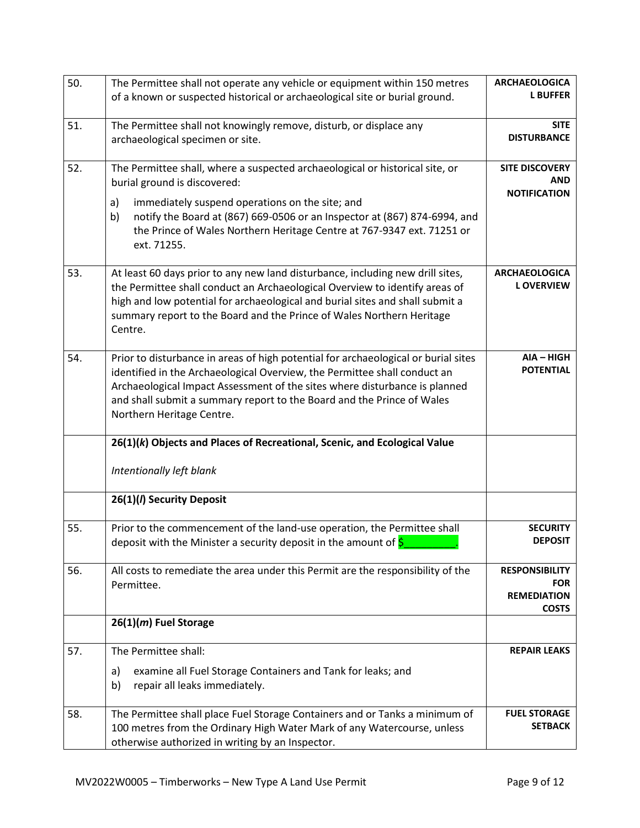| 50. | The Permittee shall not operate any vehicle or equipment within 150 metres         | <b>ARCHAEOLOGICA</b>             |
|-----|------------------------------------------------------------------------------------|----------------------------------|
|     | of a known or suspected historical or archaeological site or burial ground.        | <b>L BUFFER</b>                  |
| 51. | The Permittee shall not knowingly remove, disturb, or displace any                 | <b>SITE</b>                      |
|     | archaeological specimen or site.                                                   | <b>DISTURBANCE</b>               |
| 52. | The Permittee shall, where a suspected archaeological or historical site, or       | <b>SITE DISCOVERY</b>            |
|     | burial ground is discovered:                                                       | AND                              |
|     | immediately suspend operations on the site; and<br>a)                              | <b>NOTIFICATION</b>              |
|     | notify the Board at (867) 669-0506 or an Inspector at (867) 874-6994, and<br>b)    |                                  |
|     | the Prince of Wales Northern Heritage Centre at 767-9347 ext. 71251 or             |                                  |
|     | ext. 71255.                                                                        |                                  |
| 53. | At least 60 days prior to any new land disturbance, including new drill sites,     | <b>ARCHAEOLOGICA</b>             |
|     | the Permittee shall conduct an Archaeological Overview to identify areas of        | <b>LOVERVIEW</b>                 |
|     | high and low potential for archaeological and burial sites and shall submit a      |                                  |
|     | summary report to the Board and the Prince of Wales Northern Heritage              |                                  |
|     | Centre.                                                                            |                                  |
| 54. | Prior to disturbance in areas of high potential for archaeological or burial sites | AIA - HIGH                       |
|     | identified in the Archaeological Overview, the Permittee shall conduct an          | <b>POTENTIAL</b>                 |
|     | Archaeological Impact Assessment of the sites where disturbance is planned         |                                  |
|     | and shall submit a summary report to the Board and the Prince of Wales             |                                  |
|     | Northern Heritage Centre.                                                          |                                  |
|     | 26(1)(k) Objects and Places of Recreational, Scenic, and Ecological Value          |                                  |
|     | Intentionally left blank                                                           |                                  |
|     | 26(1)(I) Security Deposit                                                          |                                  |
| 55. | Prior to the commencement of the land-use operation, the Permittee shall           | <b>SECURITY</b>                  |
|     | deposit with the Minister a security deposit in the amount of $\frac{1}{5}$        | <b>DEPOSIT</b>                   |
| 56. | All costs to remediate the area under this Permit are the responsibility of the    | <b>RESPONSIBILITY</b>            |
|     | Permittee.                                                                         | <b>FOR</b><br><b>REMEDIATION</b> |
|     |                                                                                    | <b>COSTS</b>                     |
|     | $26(1)(m)$ Fuel Storage                                                            |                                  |
| 57. | The Permittee shall:                                                               | <b>REPAIR LEAKS</b>              |
|     | examine all Fuel Storage Containers and Tank for leaks; and<br>a)                  |                                  |
|     | b)<br>repair all leaks immediately.                                                |                                  |
| 58. | The Permittee shall place Fuel Storage Containers and or Tanks a minimum of        | <b>FUEL STORAGE</b>              |
|     | 100 metres from the Ordinary High Water Mark of any Watercourse, unless            | <b>SETBACK</b>                   |
|     | otherwise authorized in writing by an Inspector.                                   |                                  |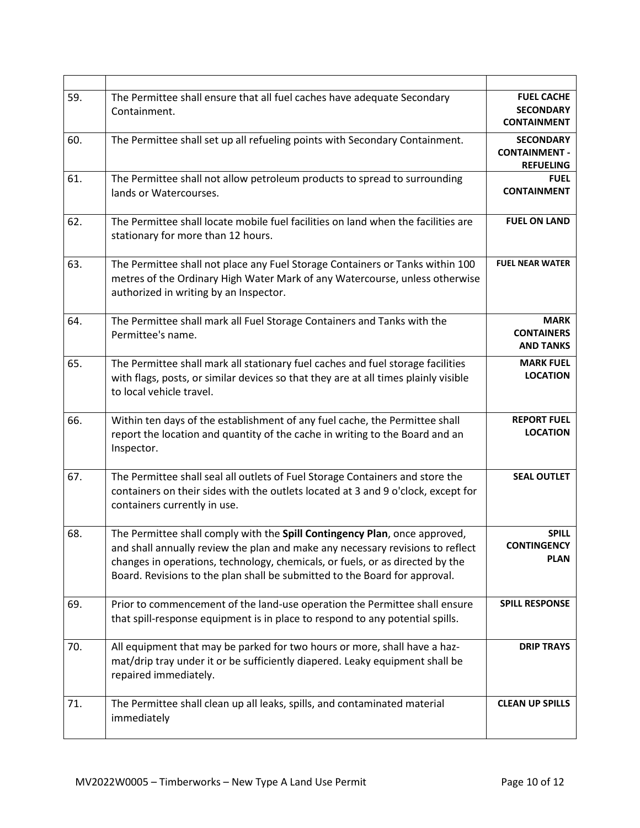| 59. | The Permittee shall ensure that all fuel caches have adequate Secondary<br>Containment.                                                                                                                                                                                                                                     | <b>FUEL CACHE</b><br><b>SECONDARY</b><br><b>CONTAINMENT</b>  |
|-----|-----------------------------------------------------------------------------------------------------------------------------------------------------------------------------------------------------------------------------------------------------------------------------------------------------------------------------|--------------------------------------------------------------|
| 60. | The Permittee shall set up all refueling points with Secondary Containment.                                                                                                                                                                                                                                                 | <b>SECONDARY</b><br><b>CONTAINMENT -</b><br><b>REFUELING</b> |
| 61. | The Permittee shall not allow petroleum products to spread to surrounding<br>lands or Watercourses.                                                                                                                                                                                                                         | <b>FUEL</b><br><b>CONTAINMENT</b>                            |
| 62. | The Permittee shall locate mobile fuel facilities on land when the facilities are<br>stationary for more than 12 hours.                                                                                                                                                                                                     | <b>FUEL ON LAND</b>                                          |
| 63. | The Permittee shall not place any Fuel Storage Containers or Tanks within 100<br>metres of the Ordinary High Water Mark of any Watercourse, unless otherwise<br>authorized in writing by an Inspector.                                                                                                                      | <b>FUEL NEAR WATER</b>                                       |
| 64. | The Permittee shall mark all Fuel Storage Containers and Tanks with the<br>Permittee's name.                                                                                                                                                                                                                                | <b>MARK</b><br><b>CONTAINERS</b><br><b>AND TANKS</b>         |
| 65. | The Permittee shall mark all stationary fuel caches and fuel storage facilities<br>with flags, posts, or similar devices so that they are at all times plainly visible<br>to local vehicle travel.                                                                                                                          | <b>MARK FUEL</b><br><b>LOCATION</b>                          |
| 66. | Within ten days of the establishment of any fuel cache, the Permittee shall<br>report the location and quantity of the cache in writing to the Board and an<br>Inspector.                                                                                                                                                   | <b>REPORT FUEL</b><br><b>LOCATION</b>                        |
| 67. | The Permittee shall seal all outlets of Fuel Storage Containers and store the<br>containers on their sides with the outlets located at 3 and 9 o'clock, except for<br>containers currently in use.                                                                                                                          | <b>SEAL OUTLET</b>                                           |
| 68. | The Permittee shall comply with the Spill Contingency Plan, once approved,<br>and shall annually review the plan and make any necessary revisions to reflect<br>changes in operations, technology, chemicals, or fuels, or as directed by the<br>Board. Revisions to the plan shall be submitted to the Board for approval. | <b>SPILL</b><br><b>CONTINGENCY</b><br><b>PLAN</b>            |
| 69. | Prior to commencement of the land-use operation the Permittee shall ensure<br>that spill-response equipment is in place to respond to any potential spills.                                                                                                                                                                 | <b>SPILL RESPONSE</b>                                        |
| 70. | All equipment that may be parked for two hours or more, shall have a haz-<br>mat/drip tray under it or be sufficiently diapered. Leaky equipment shall be<br>repaired immediately.                                                                                                                                          | <b>DRIP TRAYS</b>                                            |
| 71. | The Permittee shall clean up all leaks, spills, and contaminated material<br>immediately                                                                                                                                                                                                                                    | <b>CLEAN UP SPILLS</b>                                       |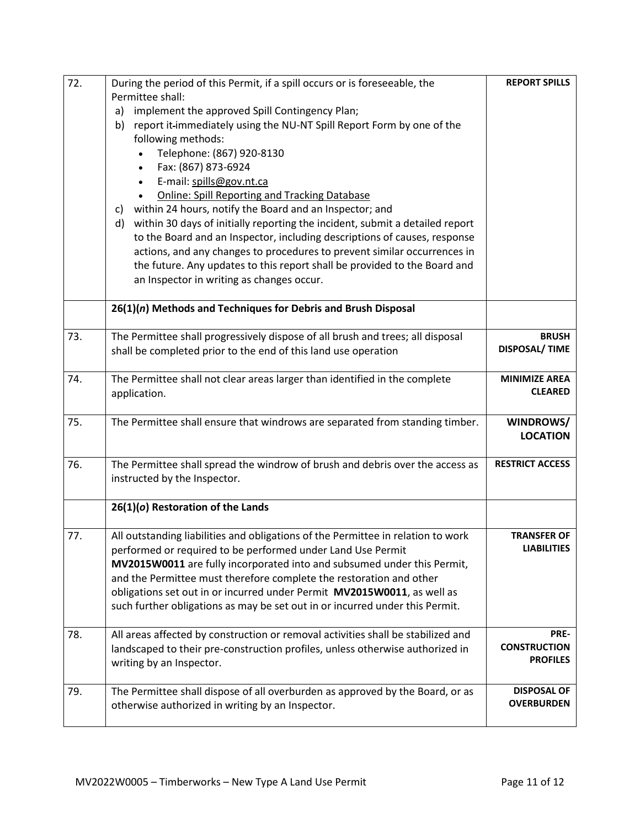| 72. | During the period of this Permit, if a spill occurs or is foreseeable, the         | <b>REPORT SPILLS</b>   |
|-----|------------------------------------------------------------------------------------|------------------------|
|     | Permittee shall:                                                                   |                        |
|     | implement the approved Spill Contingency Plan;<br>a)                               |                        |
|     | report it-immediately using the NU-NT Spill Report Form by one of the<br>b)        |                        |
|     | following methods:                                                                 |                        |
|     | Telephone: (867) 920-8130                                                          |                        |
|     | Fax: (867) 873-6924<br>$\bullet$                                                   |                        |
|     | E-mail: spills@gov.nt.ca                                                           |                        |
|     | <b>Online: Spill Reporting and Tracking Database</b>                               |                        |
|     | within 24 hours, notify the Board and an Inspector; and<br>C)                      |                        |
|     | within 30 days of initially reporting the incident, submit a detailed report<br>d) |                        |
|     | to the Board and an Inspector, including descriptions of causes, response          |                        |
|     |                                                                                    |                        |
|     | actions, and any changes to procedures to prevent similar occurrences in           |                        |
|     | the future. Any updates to this report shall be provided to the Board and          |                        |
|     | an Inspector in writing as changes occur.                                          |                        |
|     | 26(1)(n) Methods and Techniques for Debris and Brush Disposal                      |                        |
|     |                                                                                    |                        |
| 73. | The Permittee shall progressively dispose of all brush and trees; all disposal     | <b>BRUSH</b>           |
|     | shall be completed prior to the end of this land use operation                     | <b>DISPOSAL/ TIME</b>  |
| 74. |                                                                                    | <b>MINIMIZE AREA</b>   |
|     | The Permittee shall not clear areas larger than identified in the complete         | <b>CLEARED</b>         |
|     | application.                                                                       |                        |
| 75. | The Permittee shall ensure that windrows are separated from standing timber.       | WINDROWS/              |
|     |                                                                                    | <b>LOCATION</b>        |
| 76. | The Permittee shall spread the windrow of brush and debris over the access as      | <b>RESTRICT ACCESS</b> |
|     | instructed by the Inspector.                                                       |                        |
|     |                                                                                    |                        |
|     | 26(1)(o) Restoration of the Lands                                                  |                        |
| 77. | All outstanding liabilities and obligations of the Permittee in relation to work   | <b>TRANSFER OF</b>     |
|     | performed or required to be performed under Land Use Permit                        | <b>LIABILITIES</b>     |
|     | MV2015W0011 are fully incorporated into and subsumed under this Permit,            |                        |
|     | and the Permittee must therefore complete the restoration and other                |                        |
|     | obligations set out in or incurred under Permit MV2015W0011, as well as            |                        |
|     | such further obligations as may be set out in or incurred under this Permit.       |                        |
|     |                                                                                    |                        |
| 78. | All areas affected by construction or removal activities shall be stabilized and   | PRE-                   |
|     | landscaped to their pre-construction profiles, unless otherwise authorized in      | <b>CONSTRUCTION</b>    |
|     | writing by an Inspector.                                                           | <b>PROFILES</b>        |
|     |                                                                                    |                        |
| 79. | The Permittee shall dispose of all overburden as approved by the Board, or as      | <b>DISPOSAL OF</b>     |
|     | otherwise authorized in writing by an Inspector.                                   | <b>OVERBURDEN</b>      |
|     |                                                                                    |                        |